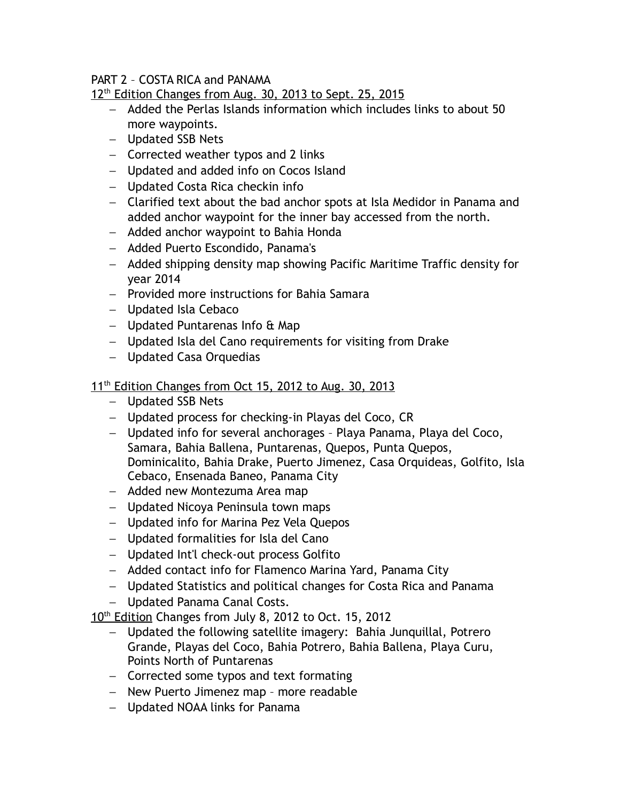## PART 2 – COSTA RICA and PANAMA

12<sup>th</sup> Edition Changes from Aug. 30, 2013 to Sept. 25, 2015

- Added the Perlas Islands information which includes links to about 50 more waypoints.
- Updated SSB Nets
- Corrected weather typos and 2 links
- Updated and added info on Cocos Island
- Updated Costa Rica checkin info
- Clarified text about the bad anchor spots at Isla Medidor in Panama and added anchor waypoint for the inner bay accessed from the north.
- Added anchor waypoint to Bahia Honda
- Added Puerto Escondido, Panama's
- Added shipping density map showing Pacific Maritime Traffic density for year 2014
- Provided more instructions for Bahia Samara
- Updated Isla Cebaco
- $-$  Updated Puntarenas Info & Map
- Updated Isla del Cano requirements for visiting from Drake
- Updated Casa Orquedias

## 11<sup>th</sup> Edition Changes from Oct 15, 2012 to Aug. 30, 2013

- Updated SSB Nets
- Updated process for checking-in Playas del Coco, CR
- Updated info for several anchorages Playa Panama, Playa del Coco, Samara, Bahia Ballena, Puntarenas, Quepos, Punta Quepos, Dominicalito, Bahia Drake, Puerto Jimenez, Casa Orquideas, Golfito, Isla Cebaco, Ensenada Baneo, Panama City
- Added new Montezuma Area map
- Updated Nicoya Peninsula town maps
- Updated info for Marina Pez Vela Quepos
- Updated formalities for Isla del Cano
- Updated Int'l check-out process Golfito
- Added contact info for Flamenco Marina Yard, Panama City
- Updated Statistics and political changes for Costa Rica and Panama
- Updated Panama Canal Costs.

10<sup>th</sup> Edition Changes from July 8, 2012 to Oct. 15, 2012

- Updated the following satellite imagery: Bahia Junquillal, Potrero Grande, Playas del Coco, Bahia Potrero, Bahia Ballena, Playa Curu, Points North of Puntarenas
- $-$  Corrected some typos and text formating
- New Puerto Jimenez map more readable
- Updated NOAA links for Panama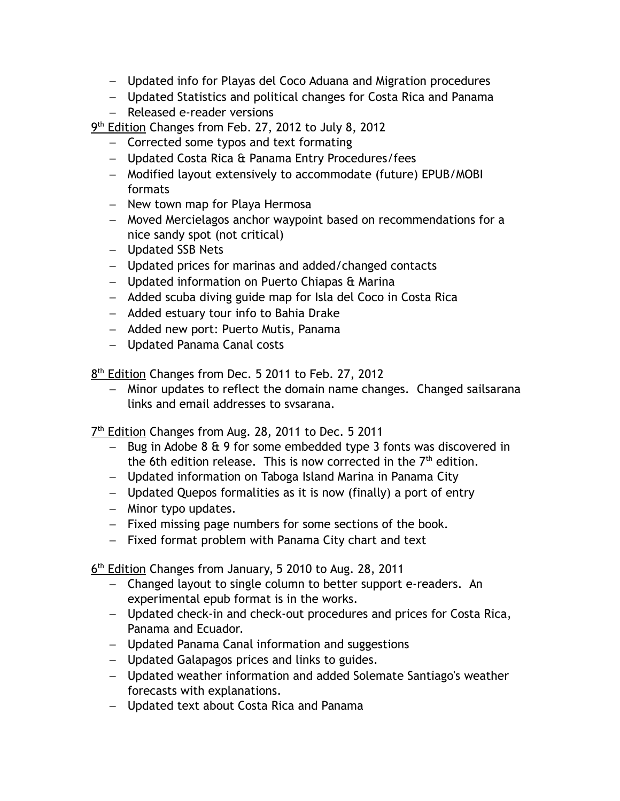- Updated info for Playas del Coco Aduana and Migration procedures
- Updated Statistics and political changes for Costa Rica and Panama
- Released e-reader versions
- 9<sup>th</sup> Edition Changes from Feb. 27, 2012 to July 8, 2012
	- Corrected some typos and text formating
	- Updated Costa Rica & Panama Entry Procedures/fees
	- Modified layout extensively to accommodate (future) EPUB/MOBI formats
	- New town map for Playa Hermosa
	- Moved Mercielagos anchor waypoint based on recommendations for a nice sandy spot (not critical)
	- Updated SSB Nets
	- Updated prices for marinas and added/changed contacts
	- $-$  Updated information on Puerto Chiapas  $\theta$  Marina
	- Added scuba diving guide map for Isla del Coco in Costa Rica
	- Added estuary tour info to Bahia Drake
	- Added new port: Puerto Mutis, Panama
	- Updated Panama Canal costs

8<sup>th</sup> Edition Changes from Dec. 5 2011 to Feb. 27, 2012

- Minor updates to reflect the domain name changes. Changed sailsarana links and email addresses to svsarana.

7<sup>th</sup> Edition Changes from Aug. 28, 2011 to Dec. 5 2011

- $-$  Bug in Adobe 8 & 9 for some embedded type 3 fonts was discovered in the 6th edition release. This is now corrected in the  $7<sup>th</sup>$  edition.
- Updated information on Taboga Island Marina in Panama City
- Updated Quepos formalities as it is now (finally) a port of entry
- $-$  Minor typo updates.
- Fixed missing page numbers for some sections of the book.
- $-$  Fixed format problem with Panama City chart and text

6<sup>th</sup> Edition Changes from January, 5 2010 to Aug. 28, 2011

- Changed layout to single column to better support e-readers. An experimental epub format is in the works.
- Updated check-in and check-out procedures and prices for Costa Rica, Panama and Ecuador.
- Updated Panama Canal information and suggestions
- Updated Galapagos prices and links to guides.
- Updated weather information and added Solemate Santiago's weather forecasts with explanations.
- Updated text about Costa Rica and Panama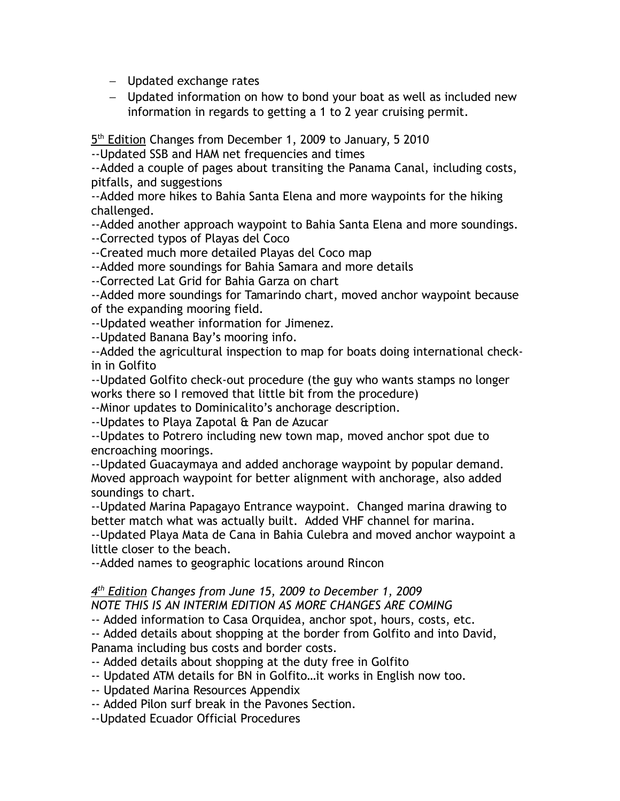- Updated exchange rates

 Updated information on how to bond your boat as well as included new information in regards to getting a 1 to 2 year cruising permit.

5<sup>th</sup> Edition Changes from December 1, 2009 to January, 5 2010

--Updated SSB and HAM net frequencies and times

--Added a couple of pages about transiting the Panama Canal, including costs, pitfalls, and suggestions

--Added more hikes to Bahia Santa Elena and more waypoints for the hiking challenged.

--Added another approach waypoint to Bahia Santa Elena and more soundings.

--Corrected typos of Playas del Coco

--Created much more detailed Playas del Coco map

--Added more soundings for Bahia Samara and more details

--Corrected Lat Grid for Bahia Garza on chart

--Added more soundings for Tamarindo chart, moved anchor waypoint because of the expanding mooring field.

--Updated weather information for Jimenez.

--Updated Banana Bay's mooring info.

--Added the agricultural inspection to map for boats doing international checkin in Golfito

--Updated Golfito check-out procedure (the guy who wants stamps no longer works there so I removed that little bit from the procedure)

--Minor updates to Dominicalito's anchorage description.

--Updates to Playa Zapotal & Pan de Azucar

--Updates to Potrero including new town map, moved anchor spot due to encroaching moorings.

--Updated Guacaymaya and added anchorage waypoint by popular demand. Moved approach waypoint for better alignment with anchorage, also added soundings to chart.

--Updated Marina Papagayo Entrance waypoint. Changed marina drawing to better match what was actually built. Added VHF channel for marina.

--Updated Playa Mata de Cana in Bahia Culebra and moved anchor waypoint a little closer to the beach.

--Added names to geographic locations around Rincon

## *4 th Edition Changes from June 15, 2009 to December 1, 2009*

*NOTE THIS IS AN INTERIM EDITION AS MORE CHANGES ARE COMING*

-- Added information to Casa Orquidea, anchor spot, hours, costs, etc.

-- Added details about shopping at the border from Golfito and into David, Panama including bus costs and border costs.

-- Added details about shopping at the duty free in Golfito

-- Updated ATM details for BN in Golfito…it works in English now too.

-- Updated Marina Resources Appendix

-- Added Pilon surf break in the Pavones Section.

--Updated Ecuador Official Procedures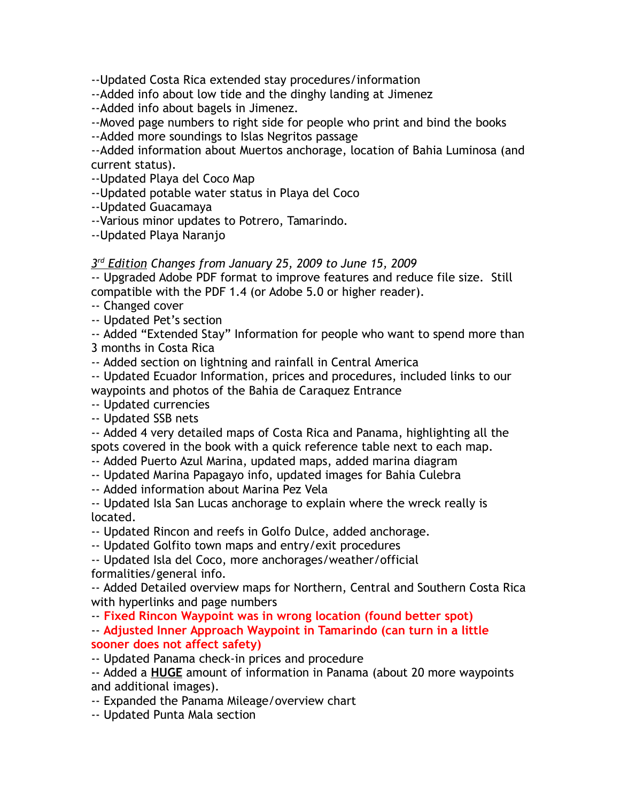--Updated Costa Rica extended stay procedures/information

--Added info about low tide and the dinghy landing at Jimenez

--Added info about bagels in Jimenez.

--Moved page numbers to right side for people who print and bind the books

--Added more soundings to Islas Negritos passage

--Added information about Muertos anchorage, location of Bahia Luminosa (and current status).

--Updated Playa del Coco Map

--Updated potable water status in Playa del Coco

--Updated Guacamaya

--Various minor updates to Potrero, Tamarindo.

--Updated Playa Naranjo

 *3 rd Edition Changes from January 25, 2009 to June 15, 2009*

-- Upgraded Adobe PDF format to improve features and reduce file size. Still compatible with the PDF 1.4 (or Adobe 5.0 or higher reader).

-- Changed cover

-- Updated Pet's section

-- Added "Extended Stay" Information for people who want to spend more than 3 months in Costa Rica

-- Added section on lightning and rainfall in Central America

-- Updated Ecuador Information, prices and procedures, included links to our waypoints and photos of the Bahia de Caraquez Entrance

-- Updated currencies

-- Updated SSB nets

-- Added 4 very detailed maps of Costa Rica and Panama, highlighting all the spots covered in the book with a quick reference table next to each map.

-- Added Puerto Azul Marina, updated maps, added marina diagram

-- Updated Marina Papagayo info, updated images for Bahia Culebra

-- Added information about Marina Pez Vela

-- Updated Isla San Lucas anchorage to explain where the wreck really is located.

-- Updated Rincon and reefs in Golfo Dulce, added anchorage.

-- Updated Golfito town maps and entry/exit procedures

-- Updated Isla del Coco, more anchorages/weather/official formalities/general info.

-- Added Detailed overview maps for Northern, Central and Southern Costa Rica with hyperlinks and page numbers

-- **Fixed Rincon Waypoint was in wrong location (found better spot)**

-- **Adjusted Inner Approach Waypoint in Tamarindo (can turn in a little sooner does not affect safety)**

-- Updated Panama check-in prices and procedure

-- Added a **HUGE** amount of information in Panama (about 20 more waypoints and additional images).

-- Expanded the Panama Mileage/overview chart

-- Updated Punta Mala section